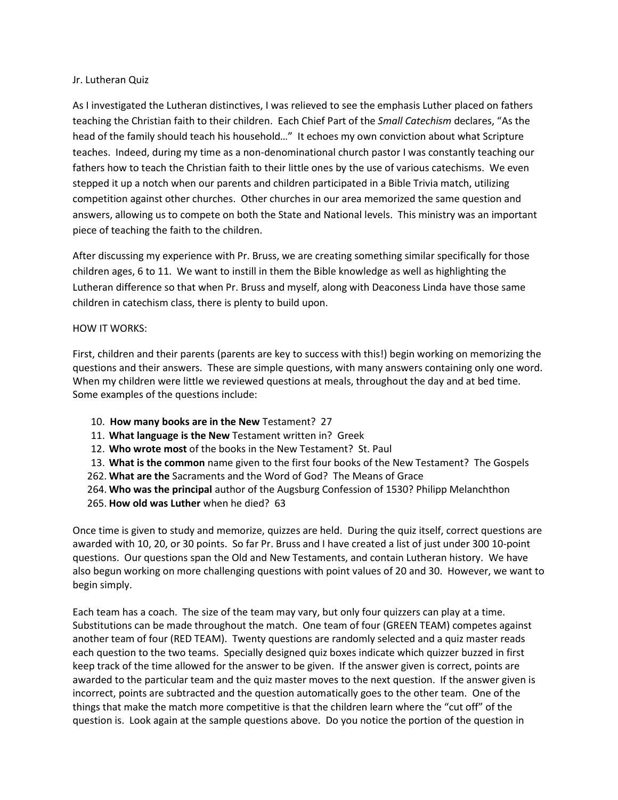## Jr. Lutheran Quiz

As I investigated the Lutheran distinctives, I was relieved to see the emphasis Luther placed on fathers teaching the Christian faith to their children. Each Chief Part of the *Small Catechism* declares, "As the head of the family should teach his household…" It echoes my own conviction about what Scripture teaches. Indeed, during my time as a non-denominational church pastor I was constantly teaching our fathers how to teach the Christian faith to their little ones by the use of various catechisms. We even stepped it up a notch when our parents and children participated in a Bible Trivia match, utilizing competition against other churches. Other churches in our area memorized the same question and answers, allowing us to compete on both the State and National levels. This ministry was an important piece of teaching the faith to the children.

After discussing my experience with Pr. Bruss, we are creating something similar specifically for those children ages, 6 to 11. We want to instill in them the Bible knowledge as well as highlighting the Lutheran difference so that when Pr. Bruss and myself, along with Deaconess Linda have those same children in catechism class, there is plenty to build upon.

## HOW IT WORKS:

First, children and their parents (parents are key to success with this!) begin working on memorizing the questions and their answers. These are simple questions, with many answers containing only one word. When my children were little we reviewed questions at meals, throughout the day and at bed time. Some examples of the questions include:

- 10. **How many books are in the New** Testament? 27
- 11. **What language is the New** Testament written in? Greek
- 12. **Who wrote most** of the books in the New Testament? St. Paul
- 13. **What is the common** name given to the first four books of the New Testament? The Gospels
- 262. **What are the** Sacraments and the Word of God? The Means of Grace
- 264. **Who was the principal** author of the Augsburg Confession of 1530? Philipp Melanchthon
- 265. **How old was Luther** when he died? 63

Once time is given to study and memorize, quizzes are held. During the quiz itself, correct questions are awarded with 10, 20, or 30 points. So far Pr. Bruss and I have created a list of just under 300 10-point questions. Our questions span the Old and New Testaments, and contain Lutheran history. We have also begun working on more challenging questions with point values of 20 and 30. However, we want to begin simply.

Each team has a coach. The size of the team may vary, but only four quizzers can play at a time. Substitutions can be made throughout the match. One team of four (GREEN TEAM) competes against another team of four (RED TEAM). Twenty questions are randomly selected and a quiz master reads each question to the two teams. Specially designed quiz boxes indicate which quizzer buzzed in first keep track of the time allowed for the answer to be given. If the answer given is correct, points are awarded to the particular team and the quiz master moves to the next question. If the answer given is incorrect, points are subtracted and the question automatically goes to the other team. One of the things that make the match more competitive is that the children learn where the "cut off" of the question is. Look again at the sample questions above. Do you notice the portion of the question in